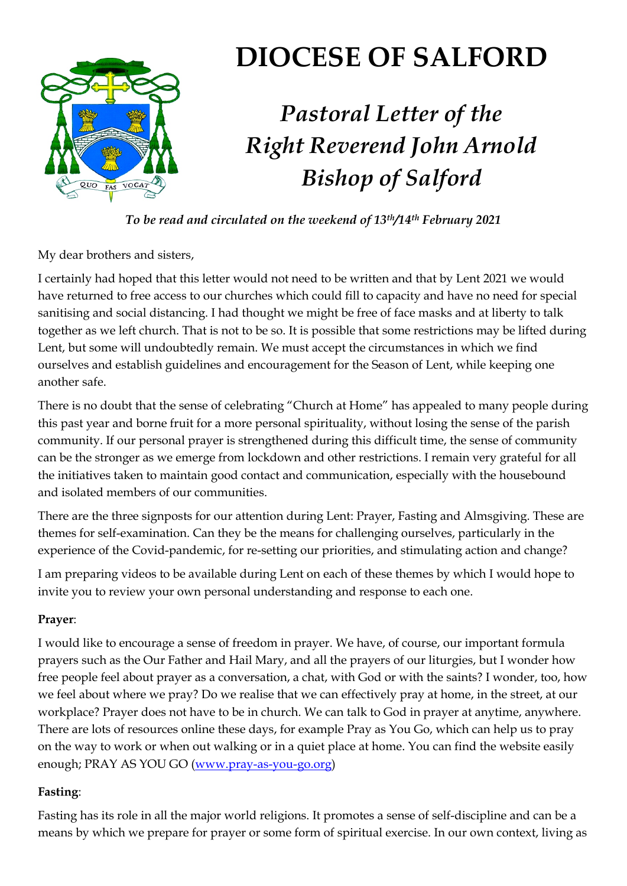

# **DIOCESE OF SALFORD**

# *Pastoral Letter of the Right Reverend John Arnold Bishop of Salford*

*To be read and circulated on the weekend of 13th/14th February 2021*

My dear brothers and sisters,

I certainly had hoped that this letter would not need to be written and that by Lent 2021 we would have returned to free access to our churches which could fill to capacity and have no need for special sanitising and social distancing. I had thought we might be free of face masks and at liberty to talk together as we left church. That is not to be so. It is possible that some restrictions may be lifted during Lent, but some will undoubtedly remain. We must accept the circumstances in which we find ourselves and establish guidelines and encouragement for the Season of Lent, while keeping one another safe.

There is no doubt that the sense of celebrating "Church at Home" has appealed to many people during this past year and borne fruit for a more personal spirituality, without losing the sense of the parish community. If our personal prayer is strengthened during this difficult time, the sense of community can be the stronger as we emerge from lockdown and other restrictions. I remain very grateful for all the initiatives taken to maintain good contact and communication, especially with the housebound and isolated members of our communities.

There are the three signposts for our attention during Lent: Prayer, Fasting and Almsgiving. These are themes for self-examination. Can they be the means for challenging ourselves, particularly in the experience of the Covid-pandemic, for re-setting our priorities, and stimulating action and change?

I am preparing videos to be available during Lent on each of these themes by which I would hope to invite you to review your own personal understanding and response to each one.

#### **Prayer**:

I would like to encourage a sense of freedom in prayer. We have, of course, our important formula prayers such as the Our Father and Hail Mary, and all the prayers of our liturgies, but I wonder how free people feel about prayer as a conversation, a chat, with God or with the saints? I wonder, too, how we feel about where we pray? Do we realise that we can effectively pray at home, in the street, at our workplace? Prayer does not have to be in church. We can talk to God in prayer at anytime, anywhere. There are lots of resources online these days, for example Pray as You Go, which can help us to pray on the way to work or when out walking or in a quiet place at home. You can find the website easily enough; PRAY AS YOU GO [\(www.pray-as-you-go.](http://www.pray-as-you-go/)org)

## **Fasting**:

Fasting has its role in all the major world religions. It promotes a sense of self-discipline and can be a means by which we prepare for prayer or some form of spiritual exercise. In our own context, living as